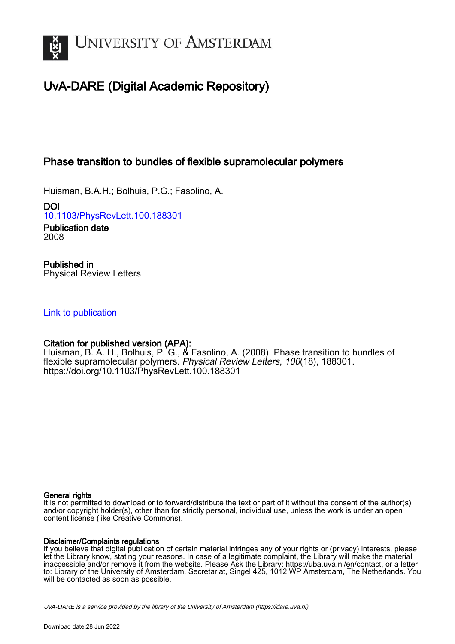

# UvA-DARE (Digital Academic Repository)

## Phase transition to bundles of flexible supramolecular polymers

Huisman, B.A.H.; Bolhuis, P.G.; Fasolino, A.

DOI [10.1103/PhysRevLett.100.188301](https://doi.org/10.1103/PhysRevLett.100.188301)

Publication date 2008

Published in Physical Review Letters

### [Link to publication](https://dare.uva.nl/personal/pure/en/publications/phase-transition-to-bundles-of-flexible-supramolecular-polymers(3a628bac-90fe-47e1-b40f-718223f40994).html)

### Citation for published version (APA):

Huisman, B. A. H., Bolhuis, P. G., & Fasolino, A. (2008). Phase transition to bundles of flexible supramolecular polymers. Physical Review Letters, 100(18), 188301. <https://doi.org/10.1103/PhysRevLett.100.188301>

### General rights

It is not permitted to download or to forward/distribute the text or part of it without the consent of the author(s) and/or copyright holder(s), other than for strictly personal, individual use, unless the work is under an open content license (like Creative Commons).

### Disclaimer/Complaints regulations

If you believe that digital publication of certain material infringes any of your rights or (privacy) interests, please let the Library know, stating your reasons. In case of a legitimate complaint, the Library will make the material inaccessible and/or remove it from the website. Please Ask the Library: https://uba.uva.nl/en/contact, or a letter to: Library of the University of Amsterdam, Secretariat, Singel 425, 1012 WP Amsterdam, The Netherlands. You will be contacted as soon as possible.

UvA-DARE is a service provided by the library of the University of Amsterdam (http*s*://dare.uva.nl)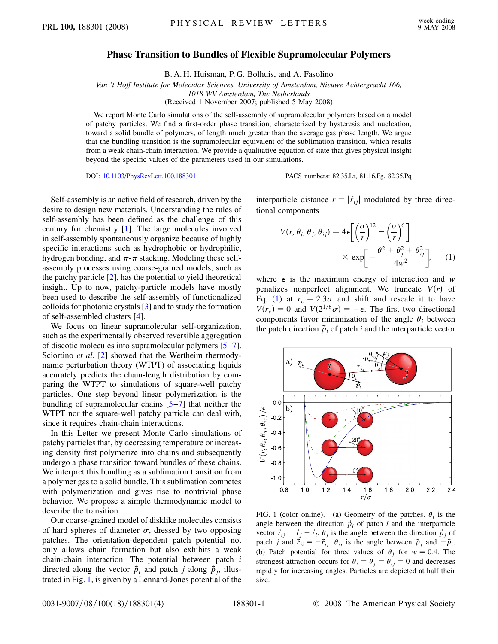### **Phase Transition to Bundles of Flexible Supramolecular Polymers**

B. A. H. Huisman, P. G. Bolhuis, and A. Fasolino

*Van 't Hoff Institute for Molecular Sciences, University of Amsterdam, Nieuwe Achtergracht 166, 1018 WV Amsterdam, The Netherlands*

(Received 1 November 2007; published 5 May 2008)

We report Monte Carlo simulations of the self-assembly of supramolecular polymers based on a model of patchy particles. We find a first-order phase transition, characterized by hysteresis and nucleation, toward a solid bundle of polymers, of length much greater than the average gas phase length. We argue that the bundling transition is the supramolecular equivalent of the sublimation transition, which results from a weak chain-chain interaction. We provide a qualitative equation of state that gives physical insight beyond the specific values of the parameters used in our simulations.

DOI: [10.1103/PhysRevLett.100.188301](http://dx.doi.org/10.1103/PhysRevLett.100.188301) PACS numbers: 82.35.Lr, 81.16.Fg, 82.35.Pq

Self-assembly is an active field of research, driven by the desire to design new materials. Understanding the rules of self-assembly has been defined as the challenge of this century for chemistry [\[1](#page-4-0)]. The large molecules involved in self-assembly spontaneously organize because of highly specific interactions such as hydrophobic or hydrophilic, hydrogen bonding, and  $\pi$ - $\pi$  stacking. Modeling these selfassembly processes using coarse-grained models, such as the patchy particle [[2\]](#page-4-1), has the potential to yield theoretical insight. Up to now, patchy-particle models have mostly been used to describe the self-assembly of functionalized colloids for photonic crystals [[3](#page-4-2)] and to study the formation of self-assembled clusters [[4\]](#page-4-3).

We focus on linear supramolecular self-organization, such as the experimentally observed reversible aggregation of discotic molecules into supramolecular polymers [\[5](#page-4-4)[–7\]](#page-4-5). Sciortino *et al.* [[2](#page-4-1)] showed that the Wertheim thermodynamic perturbation theory (WTPT) of associating liquids accurately predicts the chain-length distribution by comparing the WTPT to simulations of square-well patchy particles. One step beyond linear polymerization is the bundling of supramolecular chains [[5](#page-4-4)–[7\]](#page-4-5) that neither the WTPT nor the square-well patchy particle can deal with, since it requires chain-chain interactions.

In this Letter we present Monte Carlo simulations of patchy particles that, by decreasing temperature or increasing density first polymerize into chains and subsequently undergo a phase transition toward bundles of these chains. We interpret this bundling as a sublimation transition from a polymer gas to a solid bundle. This sublimation competes with polymerization and gives rise to nontrivial phase behavior. We propose a simple thermodynamic model to describe the transition.

Our coarse-grained model of disklike molecules consists of hard spheres of diameter  $\sigma$ , dressed by two opposing patches. The orientation-dependent patch potential not only allows chain formation but also exhibits a weak chain-chain interaction. The potential between patch *i* directed along the vector  $\vec{p}_i$  and patch *j* along  $\vec{p}_j$ , illustrated in Fig. [1](#page-1-0), is given by a Lennard-Jones potential of the <span id="page-1-1"></span>interparticle distance  $r = |\vec{r}_{ij}|$  modulated by three directional components

$$
V(r, \theta_i, \theta_j, \theta_{ij}) = 4\epsilon \left[ \left( \frac{\sigma}{r} \right)^{12} - \left( \frac{\sigma}{r} \right)^6 \right] \times \exp \left[ -\frac{\theta_i^2 + \theta_j^2 + \theta_{ij}^2}{4w^2} \right], \quad (1)
$$

where  $\epsilon$  is the maximum energy of interaction and *w* penalizes nonperfect alignment. We truncate  $V(r)$  of Eq. [\(1\)](#page-1-1) at  $r_c = 2.3\sigma$  and shift and rescale it to have  $V(r_c) = 0$  and  $V(2^{1/6}\sigma) = -\epsilon$ . The first two directional components favor minimization of the angle  $\theta_i$  between the patch direction  $\vec{p}_i$  of patch *i* and the interparticle vector

<span id="page-1-0"></span>

FIG. 1 (color online). (a) Geometry of the patches.  $\theta_i$  is the angle between the direction  $\vec{p}_i$  of patch *i* and the interparticle vector  $\vec{r}_{ij} = \vec{r}_j - \vec{r}_i$ .  $\theta_j$  is the angle between the direction  $\vec{p}_j$  of patch *j* and  $\vec{r}_{ji} = -\vec{r}_{ij}$ .  $\theta_{ij}$  is the angle between  $\vec{p}_j$  and  $-\vec{p}_i$ . (b) Patch potential for three values of  $\theta_i$  for  $w = 0.4$ . The strongest attraction occurs for  $\theta_i = \theta_j = \theta_{ij} = 0$  and decreases rapidly for increasing angles. Particles are depicted at half their size.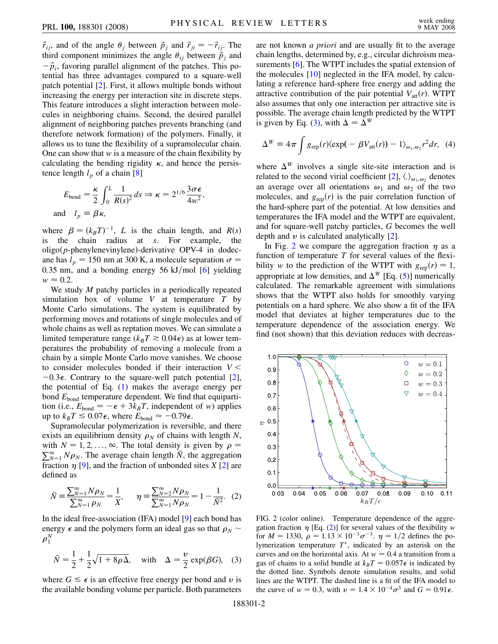$\vec{r}_{ij}$ , and of the angle  $\theta_j$  between  $\vec{p}_j$  and  $\vec{r}_{ji} = -\vec{r}_{ij}$ . The third component minimizes the angle  $\theta_{ij}$  between  $\vec{p}_j$  and  $\vec{p}_i$ , favoring parallel alignment of the patches. This potential has three advantages compared to a square-well patch potential [\[2](#page-4-1)]. First, it allows multiple bonds without increasing the energy per interaction site in discrete steps. This feature introduces a slight interaction between molecules in neighboring chains. Second, the desired parallel alignment of neighboring patches prevents branching (and therefore network formation) of the polymers. Finally, it allows us to tune the flexibility of a supramolecular chain. One can show that *w* is a measure of the chain flexibility by calculating the bending rigidity  $\kappa$ , and hence the persistence length  $l_p$  of a chain [[8\]](#page-4-6)

$$
E_{\text{bend}} = \frac{\kappa}{2} \int_0^L \frac{1}{R(s)^2} ds \Rightarrow \kappa = 2^{1/6} \frac{3\sigma \epsilon}{4w^2},
$$
  
and  $l_p = \beta \kappa$ ,

where  $\beta = (k_B T)^{-1}$ , *L* is the chain length, and *R*(*s*) is the chain radius at *s*. For example, the oligo(p-phenylenevinylene)-derivative OPV-4 in dodecane has  $l_p = 150$  nm at 300 K, a molecule separation  $\sigma =$ 0.35 nm, and a bonding energy 56 kJ/mol [\[6](#page-4-7)] yielding  $w \approx 0.2$ .

We study *M* patchy particles in a periodically repeated simulation box of volume *V* at temperature *T* by Monte Carlo simulations. The system is equilibrated by performing moves and rotations of single molecules and of whole chains as well as reptation moves. We can simulate a limited temperature range ( $k_B T \ge 0.04\epsilon$ ) as at lower temperatures the probability of removing a molecule from a chain by a simple Monte Carlo move vanishes. We choose to consider molecules bonded if their interaction *V <*  $-0.3\epsilon$ . Contrary to the square-well patch potential [[2\]](#page-4-1), the potential of Eq. ([1\)](#page-1-1) makes the average energy per bond  $E_{bond}$  temperature dependent. We find that equipartition (i.e.,  $E_{\text{bond}} = -\epsilon + 3k_B T$ , independent of *w*) applies up to  $k_B T \le 0.07\epsilon$ , where  $E_{\text{bond}} \approx -0.79\epsilon$ .

Supramolecular polymerization is reversible, and there exists an equilibrium density  $\rho_N$  of chains with length *N*, with  $N = 1, 2, \ldots, \infty$ . The total density is given by  $\rho =$  $\sum_{N=1}^{\infty} N \rho_N$ . The average chain length  $\overline{N}$ , the aggregation fraction  $\eta$  [[9\]](#page-4-8), and the fraction of unbonded sites *X* [[2](#page-4-1)] are defined as

<span id="page-2-2"></span>
$$
\bar{N} = \frac{\sum_{N=1}^{\infty} N \rho_N}{\sum_{N=1}^{\infty} \rho_N} = \frac{1}{X}, \qquad \eta = \frac{\sum_{N=2}^{\infty} N \rho_N}{\sum_{N=1}^{\infty} N \rho_N} = 1 - \frac{1}{\bar{N}^2}.
$$
 (2)

In the ideal free-association (IFA) model [\[9](#page-4-8)] each bond has energy  $\epsilon$  and the polymers form an ideal gas so that  $\rho_N \sim$  $\rho_1^N$ 

<span id="page-2-0"></span>
$$
\bar{N} = \frac{1}{2} + \frac{1}{2}\sqrt{1 + 8\rho\Delta}, \quad \text{with} \quad \Delta = \frac{v}{2}\exp(\beta G), \quad (3)
$$

where  $G \leq \epsilon$  is an effective free energy per bond and *v* is the available bonding volume per particle. Both parameters are not known *a priori* and are usually fit to the average chain lengths, determined by, e.g., circular dichroism measurements [\[6\]](#page-4-7). The WTPT includes the spatial extension of the molecules [[10](#page-4-9)] neglected in the IFA model, by calculating a reference hard-sphere free energy and adding the attractive contribution of the pair potential  $V_{\text{att}}(r)$ . WTPT also assumes that only one interaction per attractive site is possible. The average chain length predicted by the WTPT is given by Eq. [\(3](#page-2-0)), with  $\Delta = \Delta^W$ 

<span id="page-2-3"></span>
$$
\Delta^W = 4\pi \int g_{\rm rep}(r) \langle \exp(-\beta V_{\rm att}(r)) - 1 \rangle_{\omega_1, \omega_2} r^2 dr, \quad (4)
$$

where  $\Delta^W$  involves a single site-site interaction and is related to the second virial coefficient [\[2\]](#page-4-1),  $\langle . \rangle_{\omega_1,\omega_2}$  denotes an average over all orientations  $\omega_1$  and  $\omega_2$  of the two molecules, and  $g_{\text{rep}}(r)$  is the pair correlation function of the hard-sphere part of the potential. At low densities and temperatures the IFA model and the WTPT are equivalent, and for square-well patchy particles, *G* becomes the well depth and  $\nu$  is calculated analytically [\[2](#page-4-1)].

In Fig. [2](#page-2-1) we compare the aggregation fraction  $\eta$  as a function of temperature *T* for several values of the flexibility *w* to the prediction of the WTPT with  $g_{\text{rep}}(r) = 1$ , appropriate at low densities, and  $\Delta^W$  [Eq. [\(5](#page-3-0))] numerically calculated. The remarkable agreement with simulations shows that the WTPT also holds for smoothly varying potentials on a hard sphere. We also show a fit of the IFA model that deviates at higher temperatures due to the temperature dependence of the association energy. We find (not shown) that this deviation reduces with decreas-

<span id="page-2-1"></span>

FIG. 2 (color online). Temperature dependence of the aggregation fraction  $\eta$  [Eq. ([2\)](#page-2-2)] for several values of the flexibility *w* for  $M = 1330$ ,  $\rho = 1.13 \times 10^{-3} \sigma^{-3}$ .  $\eta = 1/2$  defines the polymerization temperature *T* , indicated by an asterisk on the curves and on the horizontal axis. At  $w = 0.4$  a transition from a gas of chains to a solid bundle at  $k_B T = 0.057\epsilon$  is indicated by the dotted line. Symbols denote simulation results, and solid lines are the WTPT. The dashed line is a fit of the IFA model to the curve of  $w = 0.3$ , with  $v = 1.4 \times 10^{-4} \sigma^3$  and  $G = 0.91 \epsilon$ .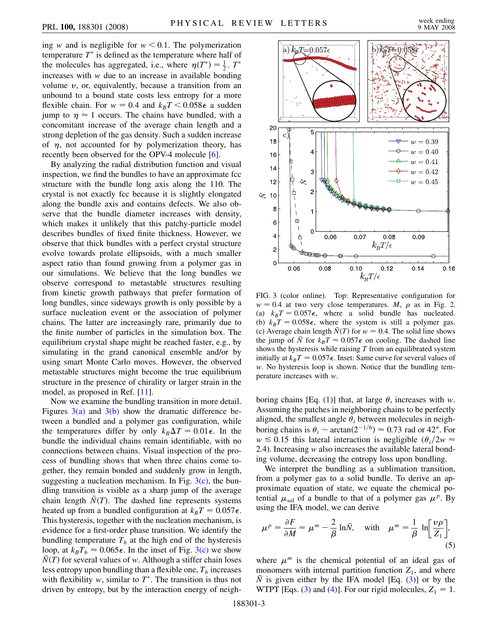ing *w* and is negligible for  $w < 0.1$ . The polymerization temperature  $T^*$  is defined as the temperature where half of the molecules has aggregated, i.e., where  $\eta(T^*) = \frac{1}{2}$ .  $T^*$ increases with *w* due to an increase in available bonding volume *v*, or, equivalently, because a transition from an unbound to a bound state costs less entropy for a more flexible chain. For  $w = 0.4$  and  $k_B T < 0.058\epsilon$  a sudden jump to  $\eta \approx 1$  occurs. The chains have bundled, with a concomitant increase of the average chain length and a strong depletion of the gas density. Such a sudden increase of  $\eta$ , not accounted for by polymerization theory, has recently been observed for the OPV-4 molecule [\[6](#page-4-7)].

By analyzing the radial distribution function and visual inspection, we find the bundles to have an approximate fcc structure with the bundle long axis along the 110. The crystal is not exactly fcc because it is slightly elongated along the bundle axis and contains defects. We also observe that the bundle diameter increases with density, which makes it unlikely that this patchy-particle model describes bundles of fixed finite thickness. However, we observe that thick bundles with a perfect crystal structure evolve towards prolate ellipsoids, with a much smaller aspect ratio than found growing from a polymer gas in our simulations. We believe that the long bundles we observe correspond to metastable structures resulting from kinetic growth pathways that prefer formation of long bundles, since sideways growth is only possible by a surface nucleation event or the association of polymer chains. The latter are increasingly rare, primarily due to the finite number of particles in the simulation box. The equilibrium crystal shape might be reached faster, e.g., by simulating in the grand canonical ensemble and/or by using smart Monte Carlo moves. However, the observed metastable structures might become the true equilibrium structure in the presence of chirality or larger strain in the model, as proposed in Ref. [\[11\]](#page-4-10).

Now we examine the bundling transition in more detail. Figures  $3(a)$  and  $3(b)$  show the dramatic difference between a bundled and a polymer gas configuration, while the temperatures differ by only  $k_B \Delta T = 0.01\epsilon$ . In the bundle the individual chains remain identifiable, with no connections between chains. Visual inspection of the process of bundling shows that when three chains come together, they remain bonded and suddenly grow in length, suggesting a nucleation mechanism. In Fig.  $3(c)$ , the bundling transition is visible as a sharp jump of the average chain length  $\bar{N}(T)$ . The dashed line represents systems heated up from a bundled configuration at  $k_B T = 0.057 \epsilon$ . This hysteresis, together with the nucleation mechanism, is evidence for a first-order phase transition. We identify the bundling temperature  $T_b$  at the high end of the hysteresis loop, at  $k_B T_b \approx 0.065\epsilon$ . In the inset of Fig. [3\(c\)](#page-3-1) we show  $\bar{N}(T)$  for several values of *w*. Although a stiffer chain loses less entropy upon bundling than a flexible one,  $T_b$  increases with flexibility  $w$ , similar to  $T^*$ . The transition is thus not driven by entropy, but by the interaction energy of neigh-



<span id="page-3-1"></span>FIG. 3 (color online). Top: Representative configuration for  $w = 0.4$  at two very close temperatures. *M*,  $\rho$  as in Fig. [2.](#page-2-1) (a)  $k_B T = 0.057\epsilon$ , where a solid bundle has nucleated. (b)  $k_B T = 0.058\epsilon$ , where the system is still a polymer gas. (c) Average chain length  $\bar{N}(T)$  for  $w = 0.4$ . The solid line shows the jump of  $\overline{N}$  for  $k_BT \approx 0.057\epsilon$  on cooling. The dashed line shows the hysteresis while raising *T* from an equilibrated system initially at  $k_BT = 0.057\epsilon$ . Inset: Same curve for several values of *w*. No hysteresis loop is shown. Notice that the bundling temperature increases with *w*.

boring chains [Eq. ([1](#page-1-1))] that, at large  $\theta$ , increases with *w*. Assuming the patches in neighboring chains to be perfectly aligned, the smallest angle  $\theta_i$  between molecules in neighboring chains is  $\theta_i \sim \arctan(2^{-1/6}) \approx 0.73$  rad or 42°. For  $w \le 0.15$  this lateral interaction is negligible  $(\theta_i/2w \approx$ 2*:*4). Increasing *w* also increases the available lateral bonding volume, decreasing the entropy loss upon bundling.

We interpret the bundling as a sublimation transition, from a polymer gas to a solid bundle. To derive an approximate equation of state, we equate the chemical potential  $\mu_{sol}$  of a bundle to that of a polymer gas  $\mu^p$ . By using the IFA model, we can derive

<span id="page-3-0"></span>
$$
\mu^{p} = \frac{\partial F}{\partial M} = \mu^{m} - \frac{2}{\beta} \ln \bar{N}, \quad \text{with} \quad \mu^{m} = \frac{1}{\beta} \ln \left[ \frac{v\rho}{Z_{1}} \right],
$$
\n(5)

where  $\mu^m$  is the chemical potential of an ideal gas of monomers with internal partition function  $Z_1$ , and where  $\overline{N}$  is given either by the IFA model [Eq. ([3](#page-2-0))] or by the WTPT [Eqs. ([3](#page-2-0)) and [\(4](#page-2-3))]. For our rigid molecules,  $Z_1 = 1$ .